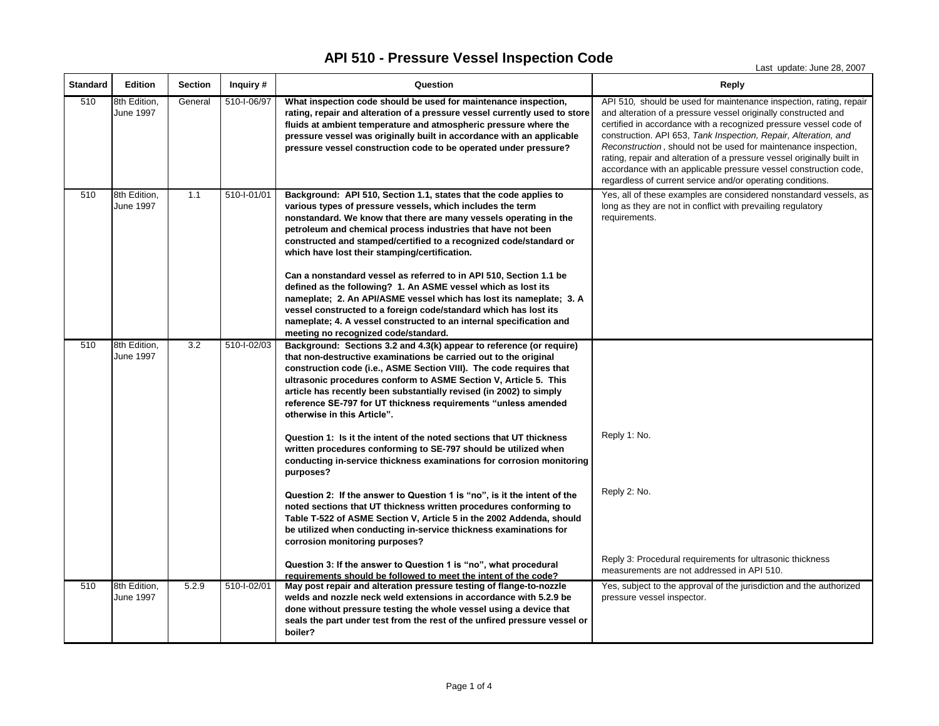Last update: June 28, 2007

| <b>Standard</b> | <b>Edition</b>                   | <b>Section</b> | Inquiry #   | Question                                                                                                                                                                                                                                                                                                                                                                                                                                                    | <b>Reply</b>                                                                                                                                                                                                                                                                                                                                                                                                                                                                                                                                               |
|-----------------|----------------------------------|----------------|-------------|-------------------------------------------------------------------------------------------------------------------------------------------------------------------------------------------------------------------------------------------------------------------------------------------------------------------------------------------------------------------------------------------------------------------------------------------------------------|------------------------------------------------------------------------------------------------------------------------------------------------------------------------------------------------------------------------------------------------------------------------------------------------------------------------------------------------------------------------------------------------------------------------------------------------------------------------------------------------------------------------------------------------------------|
| 510             | 8th Edition,<br>June 1997        | General        | 510-I-06/97 | What inspection code should be used for maintenance inspection,<br>rating, repair and alteration of a pressure vessel currently used to store<br>fluids at ambient temperature and atmospheric pressure where the<br>pressure vessel was originally built in accordance with an applicable<br>pressure vessel construction code to be operated under pressure?                                                                                              | API 510, should be used for maintenance inspection, rating, repair<br>and alteration of a pressure vessel originally constructed and<br>certified in accordance with a recognized pressure vessel code of<br>construction. API 653, Tank Inspection, Repair, Alteration, and<br>Reconstruction, should not be used for maintenance inspection,<br>rating, repair and alteration of a pressure vessel originally built in<br>accordance with an applicable pressure vessel construction code,<br>regardless of current service and/or operating conditions. |
| 510             | 8th Edition,<br>June 1997        | 1.1            | 510-I-01/01 | Background: API 510, Section 1.1, states that the code applies to<br>various types of pressure vessels, which includes the term<br>nonstandard. We know that there are many vessels operating in the<br>petroleum and chemical process industries that have not been<br>constructed and stamped/certified to a recognized code/standard or<br>which have lost their stamping/certification.                                                                 | Yes, all of these examples are considered nonstandard vessels, as<br>long as they are not in conflict with prevailing regulatory<br>requirements.                                                                                                                                                                                                                                                                                                                                                                                                          |
|                 |                                  |                |             | Can a nonstandard vessel as referred to in API 510, Section 1.1 be<br>defined as the following? 1. An ASME vessel which as lost its<br>nameplate; 2. An API/ASME vessel which has lost its nameplate; 3. A<br>vessel constructed to a foreign code/standard which has lost its<br>nameplate; 4. A vessel constructed to an internal specification and<br>meeting no recognized code/standard.                                                               |                                                                                                                                                                                                                                                                                                                                                                                                                                                                                                                                                            |
| 510             | 8th Edition,<br><b>June 1997</b> | 3.2            | 510-I-02/03 | Background: Sections 3.2 and 4.3(k) appear to reference (or require)<br>that non-destructive examinations be carried out to the original<br>construction code (i.e., ASME Section VIII). The code requires that<br>ultrasonic procedures conform to ASME Section V, Article 5. This<br>article has recently been substantially revised (in 2002) to simply<br>reference SE-797 for UT thickness requirements "unless amended<br>otherwise in this Article". |                                                                                                                                                                                                                                                                                                                                                                                                                                                                                                                                                            |
|                 |                                  |                |             | Question 1: Is it the intent of the noted sections that UT thickness<br>written procedures conforming to SE-797 should be utilized when<br>conducting in-service thickness examinations for corrosion monitoring<br>purposes?                                                                                                                                                                                                                               | Reply 1: No.                                                                                                                                                                                                                                                                                                                                                                                                                                                                                                                                               |
|                 |                                  |                |             | Question 2: If the answer to Question 1 is "no", is it the intent of the<br>noted sections that UT thickness written procedures conforming to<br>Table T-522 of ASME Section V, Article 5 in the 2002 Addenda, should<br>be utilized when conducting in-service thickness examinations for<br>corrosion monitoring purposes?                                                                                                                                | Reply 2: No.                                                                                                                                                                                                                                                                                                                                                                                                                                                                                                                                               |
|                 |                                  |                |             | Question 3: If the answer to Question 1 is "no", what procedural<br>requirements should be followed to meet the intent of the code?                                                                                                                                                                                                                                                                                                                         | Reply 3: Procedural requirements for ultrasonic thickness<br>measurements are not addressed in API 510.                                                                                                                                                                                                                                                                                                                                                                                                                                                    |
| 510             | 8th Edition,<br><b>June 1997</b> | 5.2.9          | 510-I-02/01 | May post repair and alteration pressure testing of flange-to-nozzle<br>welds and nozzle neck weld extensions in accordance with 5.2.9 be<br>done without pressure testing the whole vessel using a device that<br>seals the part under test from the rest of the unfired pressure vessel or<br>boiler?                                                                                                                                                      | Yes, subject to the approval of the jurisdiction and the authorized<br>pressure vessel inspector.                                                                                                                                                                                                                                                                                                                                                                                                                                                          |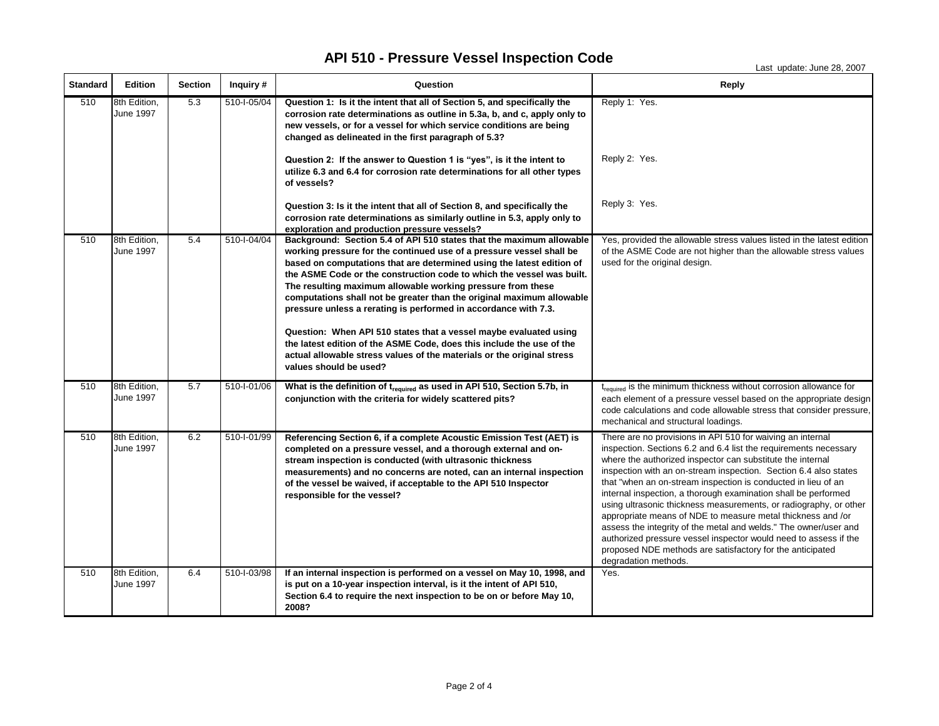Last update: June 28, 2007

| <b>Standard</b> | <b>Edition</b>            | <b>Section</b> | Inquiry #   | Question                                                                                                                                                                                                                                                                                                                                                                                                                                                                                                                                                                                                                                                                                                                          | <b>Reply</b>                                                                                                                                                                                                                                                                                                                                                                                                                                                                                                                                                                                                                                                                                                                                                         |
|-----------------|---------------------------|----------------|-------------|-----------------------------------------------------------------------------------------------------------------------------------------------------------------------------------------------------------------------------------------------------------------------------------------------------------------------------------------------------------------------------------------------------------------------------------------------------------------------------------------------------------------------------------------------------------------------------------------------------------------------------------------------------------------------------------------------------------------------------------|----------------------------------------------------------------------------------------------------------------------------------------------------------------------------------------------------------------------------------------------------------------------------------------------------------------------------------------------------------------------------------------------------------------------------------------------------------------------------------------------------------------------------------------------------------------------------------------------------------------------------------------------------------------------------------------------------------------------------------------------------------------------|
| 510             | 8th Edition,<br>June 1997 | 5.3            | 510-1-05/04 | Question 1: Is it the intent that all of Section 5, and specifically the<br>corrosion rate determinations as outline in 5.3a, b, and c, apply only to<br>new vessels, or for a vessel for which service conditions are being<br>changed as delineated in the first paragraph of 5.3?                                                                                                                                                                                                                                                                                                                                                                                                                                              | Reply 1: Yes.                                                                                                                                                                                                                                                                                                                                                                                                                                                                                                                                                                                                                                                                                                                                                        |
|                 |                           |                |             | Question 2: If the answer to Question 1 is "yes", is it the intent to<br>utilize 6.3 and 6.4 for corrosion rate determinations for all other types<br>of vessels?                                                                                                                                                                                                                                                                                                                                                                                                                                                                                                                                                                 | Reply 2: Yes.                                                                                                                                                                                                                                                                                                                                                                                                                                                                                                                                                                                                                                                                                                                                                        |
|                 |                           |                |             | Question 3: Is it the intent that all of Section 8, and specifically the<br>corrosion rate determinations as similarly outline in 5.3, apply only to<br>exploration and production pressure vessels?                                                                                                                                                                                                                                                                                                                                                                                                                                                                                                                              | Reply 3: Yes.                                                                                                                                                                                                                                                                                                                                                                                                                                                                                                                                                                                                                                                                                                                                                        |
| 510             | 8th Edition,<br>June 1997 | 5.4            | 510-I-04/04 | Background: Section 5.4 of API 510 states that the maximum allowable<br>working pressure for the continued use of a pressure vessel shall be<br>based on computations that are determined using the latest edition of<br>the ASME Code or the construction code to which the vessel was built.<br>The resulting maximum allowable working pressure from these<br>computations shall not be greater than the original maximum allowable<br>pressure unless a rerating is performed in accordance with 7.3.<br>Question: When API 510 states that a vessel maybe evaluated using<br>the latest edition of the ASME Code, does this include the use of the<br>actual allowable stress values of the materials or the original stress | Yes, provided the allowable stress values listed in the latest edition<br>of the ASME Code are not higher than the allowable stress values<br>used for the original design.                                                                                                                                                                                                                                                                                                                                                                                                                                                                                                                                                                                          |
| 510             | 8th Edition,              | 5.7            | 510-I-01/06 | values should be used?<br>What is the definition of $t_{required}$ as used in API 510, Section 5.7b, in                                                                                                                                                                                                                                                                                                                                                                                                                                                                                                                                                                                                                           | t <sub>required</sub> is the minimum thickness without corrosion allowance for                                                                                                                                                                                                                                                                                                                                                                                                                                                                                                                                                                                                                                                                                       |
|                 | June 1997                 |                |             | conjunction with the criteria for widely scattered pits?                                                                                                                                                                                                                                                                                                                                                                                                                                                                                                                                                                                                                                                                          | each element of a pressure vessel based on the appropriate design<br>code calculations and code allowable stress that consider pressure,<br>mechanical and structural loadings.                                                                                                                                                                                                                                                                                                                                                                                                                                                                                                                                                                                      |
| 510             | 8th Edition,<br>June 1997 | 6.2            | 510-I-01/99 | Referencing Section 6, if a complete Acoustic Emission Test (AET) is<br>completed on a pressure vessel, and a thorough external and on-<br>stream inspection is conducted (with ultrasonic thickness<br>measurements) and no concerns are noted, can an internal inspection<br>of the vessel be waived, if acceptable to the API 510 Inspector<br>responsible for the vessel?                                                                                                                                                                                                                                                                                                                                                     | There are no provisions in API 510 for waiving an internal<br>inspection. Sections 6.2 and 6.4 list the requirements necessary<br>where the authorized inspector can substitute the internal<br>inspection with an on-stream inspection. Section 6.4 also states<br>that "when an on-stream inspection is conducted in lieu of an<br>internal inspection, a thorough examination shall be performed<br>using ultrasonic thickness measurements, or radiography, or other<br>appropriate means of NDE to measure metal thickness and /or<br>assess the integrity of the metal and welds." The owner/user and<br>authorized pressure vessel inspector would need to assess if the<br>proposed NDE methods are satisfactory for the anticipated<br>degradation methods. |
| 510             | 8th Edition,<br>June 1997 | 6.4            | 510-I-03/98 | If an internal inspection is performed on a vessel on May 10, 1998, and<br>is put on a 10-year inspection interval, is it the intent of API 510,<br>Section 6.4 to require the next inspection to be on or before May 10,<br>2008?                                                                                                                                                                                                                                                                                                                                                                                                                                                                                                | Yes.                                                                                                                                                                                                                                                                                                                                                                                                                                                                                                                                                                                                                                                                                                                                                                 |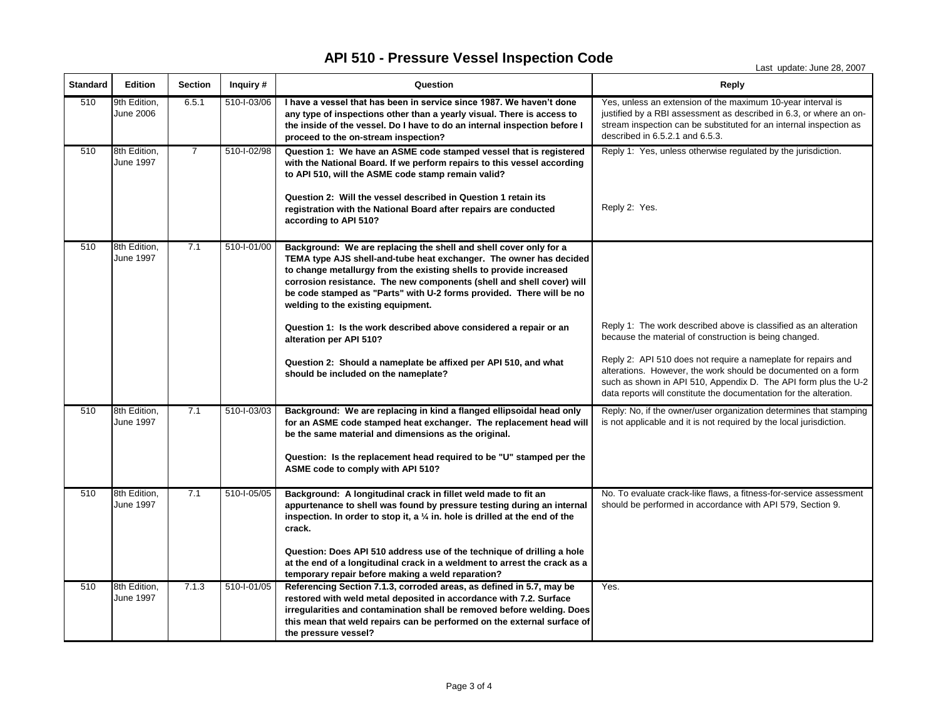Last update: June 28, 2007

| <b>Standard</b> | <b>Edition</b>                   | <b>Section</b> | Inquiry #   | Question                                                                                                                                                                                                                                                                                                                                                                                             | <b>Reply</b>                                                                                                                                                                                                                                                            |
|-----------------|----------------------------------|----------------|-------------|------------------------------------------------------------------------------------------------------------------------------------------------------------------------------------------------------------------------------------------------------------------------------------------------------------------------------------------------------------------------------------------------------|-------------------------------------------------------------------------------------------------------------------------------------------------------------------------------------------------------------------------------------------------------------------------|
| 510             | 9th Edition,<br><b>June 2006</b> | 6.5.1          | 510-1-03/06 | I have a vessel that has been in service since 1987. We haven't done<br>any type of inspections other than a yearly visual. There is access to<br>the inside of the vessel. Do I have to do an internal inspection before I<br>proceed to the on-stream inspection?                                                                                                                                  | Yes, unless an extension of the maximum 10-year interval is<br>justified by a RBI assessment as described in 6.3, or where an on-<br>stream inspection can be substituted for an internal inspection as<br>described in 6.5.2.1 and 6.5.3.                              |
| 510             | 8th Edition,<br>June 1997        | $\overline{7}$ | 510-I-02/98 | Question 1: We have an ASME code stamped vessel that is registered<br>with the National Board. If we perform repairs to this vessel according<br>to API 510, will the ASME code stamp remain valid?<br>Question 2: Will the vessel described in Question 1 retain its<br>registration with the National Board after repairs are conducted<br>according to API 510?                                   | Reply 1: Yes, unless otherwise regulated by the jurisdiction.<br>Reply 2: Yes.                                                                                                                                                                                          |
| 510             | 8th Edition,<br><b>June 1997</b> | 7.1            | 510-I-01/00 | Background: We are replacing the shell and shell cover only for a<br>TEMA type AJS shell-and-tube heat exchanger. The owner has decided<br>to change metallurgy from the existing shells to provide increased<br>corrosion resistance. The new components (shell and shell cover) will<br>be code stamped as "Parts" with U-2 forms provided. There will be no<br>welding to the existing equipment. |                                                                                                                                                                                                                                                                         |
|                 |                                  |                |             | Question 1: Is the work described above considered a repair or an<br>alteration per API 510?                                                                                                                                                                                                                                                                                                         | Reply 1: The work described above is classified as an alteration<br>because the material of construction is being changed.                                                                                                                                              |
|                 |                                  |                |             | Question 2: Should a nameplate be affixed per API 510, and what<br>should be included on the nameplate?                                                                                                                                                                                                                                                                                              | Reply 2: API 510 does not require a nameplate for repairs and<br>alterations. However, the work should be documented on a form<br>such as shown in API 510, Appendix D. The API form plus the U-2<br>data reports will constitute the documentation for the alteration. |
| 510             | 8th Edition,<br>June 1997        | 7.1            | 510-1-03/03 | Background: We are replacing in kind a flanged ellipsoidal head only<br>for an ASME code stamped heat exchanger. The replacement head will<br>be the same material and dimensions as the original.                                                                                                                                                                                                   | Reply: No, if the owner/user organization determines that stamping<br>is not applicable and it is not required by the local jurisdiction.                                                                                                                               |
|                 |                                  |                |             | Question: Is the replacement head required to be "U" stamped per the<br>ASME code to comply with API 510?                                                                                                                                                                                                                                                                                            |                                                                                                                                                                                                                                                                         |
| 510             | 8th Edition,<br><b>June 1997</b> | 7.1            | 510-I-05/05 | Background: A longitudinal crack in fillet weld made to fit an<br>appurtenance to shell was found by pressure testing during an internal<br>inspection. In order to stop it, a $\frac{1}{4}$ in. hole is drilled at the end of the<br>crack.<br>Question: Does API 510 address use of the technique of drilling a hole<br>at the end of a longitudinal crack in a weldment to arrest the crack as a  | No. To evaluate crack-like flaws, a fitness-for-service assessment<br>should be performed in accordance with API 579, Section 9.                                                                                                                                        |
|                 |                                  |                |             | temporary repair before making a weld reparation?                                                                                                                                                                                                                                                                                                                                                    |                                                                                                                                                                                                                                                                         |
| 510             | 8th Edition,<br><b>June 1997</b> | 7.1.3          | 510-I-01/05 | Referencing Section 7.1.3, corroded areas, as defined in 5.7, may be<br>restored with weld metal deposited in accordance with 7.2. Surface<br>irregularities and contamination shall be removed before welding. Does<br>this mean that weld repairs can be performed on the external surface of<br>the pressure vessel?                                                                              | Yes.                                                                                                                                                                                                                                                                    |